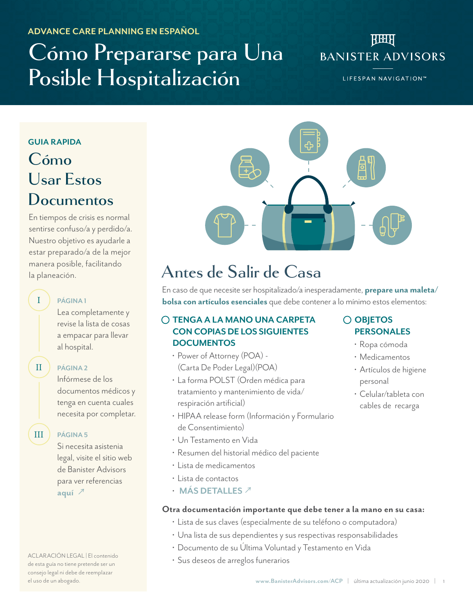#### **ADVANCE CARE PLANNING EN ESPAÑOL**

# **Cómo Prepararse para Una Posible Hospitalización**

### **REAL BANISTER ADVISORS**

LIFESPAN NAVIGATION™

#### **GUIA RAPIDA**

# **Cómo Usar Estos Documentos**

En tiempos de crisis es normal sentirse confuso/a y perdido/a. Nuestro objetivo es ayudarle a estar preparado/a de la mejor manera posible, facilitando la planeación.



# **Antes de Salir de Casa**

En caso de que necesite ser hospitalizado/a inesperadamente, **prepare una maleta/ bolsa con artículos esenciales** que debe contener a lo mínimo estos elementos:

#### **TENGA A LA MANO UNA CARPETA CON COPIAS DE LOS SIGUIENTES DOCUMENTOS**

- Power of Attorney (POA) (Carta De Poder Legal)(POA)
- La forma POLST (Orden médica para tratamiento y mantenimiento de vida/ respiración artificial)
- HIPAA release form (Información y Formulario de Consentimiento)
- Un Testamento en Vida
- Resumen del historial médico del paciente
- Lista de medicamentos
- Lista de contactos
- **MÁS DETALLES** [↗](#page-1-0)

#### **Otra documentación importante que debe tener a la mano en su casa:**

- Lista de sus claves (especialmente de su teléfono o computadora)
- Una lista de sus dependientes y sus respectivas responsabilidades
- Documento de su Última Voluntad y Testamento en Vida
- Sus deseos de arreglos funerarios

#### **OBJETOS PERSONALES**

- Ropa cómoda
- Medicamentos
- Artículos de higiene personal
- Celular/tableta con cables de recarga

Lea completamente y revise la lista de cosas

**PÁGINA 1**

II

I

### **PÁGINA [2](#page-1-0)**

**PÁGINA [5](#page-4-0)**

al hospital.

Infórmese de los documentos médicos y tenga en cuenta cuales necesita por completar.

a empacar para llevar

III

Si necesita asistenia legal, visite el sitio web de Banister Advisors para ver referencias **[aquí](http://www.banisteradvisors.com/acp)** ↗

ACLARACIÓN LEGAL | El contenido de esta guía no tiene pretende ser un consejo legal ni debe de reemplazar el uso de un abogado.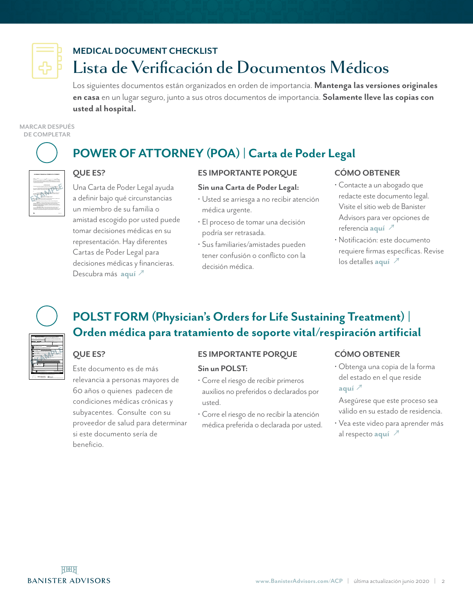<span id="page-1-0"></span>

# **MEDICAL DOCUMENT CHECKLIST Lista de Verificación de Documentos Médicos**

Los siguientes documentos están organizados en orden de importancia. **Mantenga las versiones originales en casa** en un lugar seguro, junto a sus otros documentos de importancia. **Solamente lleve las copias con usted al hospital.**

#### **MARCAR DESPUÉS DE COMPLETAR**

**DURABLE FINANCIAL POWER OF ATTORNEY**  $p$  and  $p$   $\overline{p}$  and  $\overline{p}$  and  $\overline{p}$  and  $\overline{p}$  and  $\overline{p}$  and  $\overline{p}$  and  $\overline{p}$  and  $\overline{p}$  and  $\overline{p}$  and  $\overline{p}$  and  $\overline{p}$  and  $\overline{p}$  and  $\overline{p}$  and  $\overline{p}$ \_\_\_\_\_\_\_\_\_\_\_\_\_\_\_\_\_\_, of \_\_\_\_\_\_\_\_\_\_\_\_\_\_\_\_\_\_, State of \_\_\_\_\_\_\_\_\_\_\_\_\_\_\_\_\_\_, my in my stead and for my benefit, hereby revoking any and all financial powers of attorney (Choose the applicable paragraph by placing your initials in the preceding space) - A. I grant my attorney-in-fact the powers set forth herein immediately upon the execution of this document. These powers shall not be affected by any subsequent disability or incapacity I may experience in the future. \_\_\_\_ - A. I grant my attorney-in-fact that powers set for the power set of the powers set of been determined in writing, by my attending physician, that I am unable to properly handle my financial affairs. **POWERS OF ATTORNEY-IN-FACT** My attorney-in-fact shall exercise powers in my best interests and for my welfare, as a fiduciary. My attorney-in-fact shall have the following powers: (Choose the applicable power(s) by placing your initials in the preceding space) \_\_\_\_\_\_\_\_ **BANKING** -To receive and deposit funds in any financial institution, and to \_\_\_\_\_\_\_\_ **SAFE DEPOSIT BOX** - To have access at any time or times to any safe-

**EXAMPLE** 

# **POWER OF ATTORNEY (POA) | Carta de Poder Legal**

#### **QUE ES?**

Una Carta de Poder Legal ayuda a definir bajo qué circunstancias un miembro de su familia o amistad escogido por usted puede tomar decisiones médicas en su representación. Hay diferentes Cartas de Poder Legal para decisiones médicas y financieras. Descubra más **[aquí](https://www.elderlawanswers.com/powers-of-attorney-come-in-different-flavors-8217)** ↗

#### **ES IMPORTANTE PORQUE**

#### **Sin una Carta de Poder Legal:**

- Usted se arriesga a no recibir atención médica urgente.
- El proceso de tomar una decisión podría ser retrasada.
- Sus familiaries/amistades pueden tener confusión o conflicto con la decisión médica.

#### **CÓMO OBTENER**

- Contacte a un abogado que redacte este documento legal. Visite el sitio web de Banister Advisors para ver opciones de referencia **[aquí](http://www.banisteradvisors.com/acp)** ↗
- Notificación: este documento requiere firmas específicas. Revise los detalles **[aquí](https://app.leg.wa.gov/RCW/default.aspx?cite=11.125.050)** ↗



**mediCal interventions: Person has pulse and/or is breathing.** When not in cardiopulmonary arrest, go to part B. *Additional Orders: (e.g. dialysis, etc.) \_\_\_\_\_\_\_\_\_\_\_\_\_\_\_\_\_\_\_\_\_\_\_\_\_\_\_\_\_\_\_\_\_\_\_\_\_\_\_\_\_\_\_\_\_\_\_\_\_\_\_\_\_\_\_\_*

Choosing DNAR will include appropriate comfort measures.

Person has: Health Care Directive (living will)  $\frac{1}{\lambda}$ Patient Parent of Minor Guardian with Health Care Authority

FULL TREATMENT **-primary goal of prolonging life by all medically effective means.**  Includes care described below. Use intubation, advanced airway interventions, mechanical ventilation and cardioversion as indicated. Transfer *to hospital if indicated. Includes intensive care.* SELECTIVE TREATMENT **- goal of treating medical conditions while avoiding burdensome measures.** Includes care described below. Use medical treatment, IV fluids and cardiac monitor as indicated. Do not intubate. May use less invasive airway support (e.g. CPAP, BiPAP). Transfer *to hospital if indicated. Avoid intensive care if possible.* COMFORT-FOCUSED TREATMENT **- primary goal of maximizing comfort.** Relieve pain and suffering with medication by any route as needed. Use oxygen, oral suction and manual treatment of airway obstruction as needed for comfort. Patient prefers no hospital transfer: *EMS consider contacting medical control to determine if transport is indicated to provide adequate comfort.* **C Signatures: <u>The signature</u> below verify that the patient with the patient with the patient with the patient Discussed with:** PRINT — Physician/ARNP/PA-C Name Physician/ARNP/PA-C Signature *(mandatory)* PRINT — Patient or Legal Surrogate Name

**EXAMPLE** 

Phone Number Date *(mandatory)* Phone Number Date *(mandatory)*

# **POLST FORM (Physician's Orders for Life Sustaining Treatment) | Orden médica para tratamiento de soporte vital/respiración artificial**

#### **QUE ES?**

Este documento es de más relevancia a personas mayores de 60 años o quienes padecen de condiciones médicas crónicas y subyacentes. Consulte con su proveedor de salud para determinar si este documento sería de beneficio.

#### **ES IMPORTANTE PORQUE**

#### **Sin un POLST:**

- Corre el riesgo de recibir primeros auxilios no preferidos o declarados por usted.
- Corre el riesgo de no recibir la atención médica preferida o declarada por usted.

#### **CÓMO OBTENER**

• Obtenga una copia de la forma del estado en el que reside **[aquí](https://polst.org/national-form/)** ↗

Asegúrese que este proceso sea válido en su estado de residencia.

• Vea este video para aprender más al respecto **[aquí](https://www.youtube.com/watch?time_continue=18&v=ci7KlDJQpFU&feature=emb_logo)** ↗

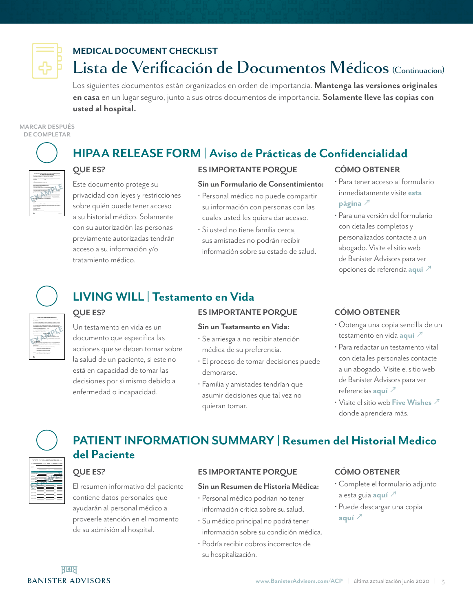

## **MEDICAL DOCUMENT CHECKLIST Lista de Verificación de Documentos Médicos (Continuacion)**

Los siguientes documentos están organizados en orden de importancia. **Mantenga las versiones originales en casa** en un lugar seguro, junto a sus otros documentos de importancia. **Solamente lleve las copias con usted al hospital.**

#### **MARCAR DESPUÉS DE COMPLETAR**



# **HIPAA RELEASE FORM | Aviso de Prácticas de Confidencialidad**

**ES IMPORTANTE PORQUE**

#### **QUE ES?**

Este documento protege su privacidad con leyes y restricciones sobre quién puede tener acceso a su historial médico. Solamente con su autorización las personas previamente autorizadas tendrán acceso a su información y/o tratamiento médico.

#### **Sin un Formulario de Consentimiento:**

- Personal médico no puede compartir su información con personas con las cuales usted les quiera dar acesso.
- Si usted no tiene familia cerca, sus amistades no podrán recibir información sobre su estado de salud.

#### **CÓMO OBTENER**

- Para tener acceso al formulario inmediatamente visite **[esta](https://eforms.com/release/medical-hipaa/)  [página](https://eforms.com/release/medical-hipaa/)** <sup>*△*</sup>
- Para una versión del formulario con detalles completos y personalizados contacte a un abogado. Visite el sitio web de Banister Advisors para ver opciones de referencia **[aquí](http://www.banisteradvisors.com/acp)** ↗



The first form is called a Health Care Directive, also known as a living will. The Health Care Directive allows you to tell you found care providers your preferences for analysis This form was completed and signed on  $\mathcal{A}$  and  $\mathcal{A}$  and  $\mathcal{A}$  and  $\mathcal{A}$  and  $\mathcal{A}$ I. **HEALTH CARE DIRECTIVE (LIVING WILL)** (If you do not wish to fill out this form and just wish to designate a health care agent, I, \_\_\_\_\_\_\_\_\_\_\_\_\_\_\_\_\_\_\_\_\_\_, with a street address of \_\_\_\_\_\_\_\_\_\_\_\_\_\_\_\_\_\_\_\_\_\_, City of \_\_\_\_\_\_\_\_\_\_\_\_\_\_\_\_\_\_\_\_\_\_, County of \_\_\_\_\_\_\_\_\_\_\_\_\_\_\_\_\_\_\_\_\_\_, State of \_\_\_\_\_\_\_\_\_\_\_\_\_\_\_\_\_\_\_\_\_\_, with the last four (4) digits of my social security number (SSN) being xx- ... (Hereina Source may be referred to as the advise my doctors and medical providers of my wishes for my health care in the event I am not able to communicate my wishes. A. **LIFE SUPPORT** I desire that my doctor make a concerted effort to return me to an acceptable quality of life using then available treatments and therapies. However, if my quality of life life be withdrawn. An unacceptable quality of life means (initial and check all that apply): **\_\_\_\_\_\_\_\_\_** able to recognize family or friends \_\_\_\_\_\_ ☐ - total dependence on others for daily care

**EXAMPLE** 

# **LIVING WILL | Testamento en Vida**

#### **QUE ES?**

Un testamento en vida es un documento que especifica las acciones que se deben tomar sobre la salud de un paciente, si este no está en capacidad de tomar las decisiones por sí mismo debido a enfermedad o incapacidad.

#### **ES IMPORTANTE PORQUE**

#### **Sin un Testamento en Vida:**

- Se arriesga a no recibir atención médica de su preferencia.
- El proceso de tomar decisiones puede demorarse.
- Familia y amistades tendrían que asumir decisiones que tal vez no quieran tomar.

#### **CÓMO OBTENER**

- Obtenga una copia sencilla de un testamento en vida **[aquí](https://eforms.com/living-will/)** ↗
- Para redactar un testamento vital con detalles personales contacte a un abogado. Visite el sitio web de Banister Advisors para ver referencias **[aquí](http://www.banisteradvisors.com/acp)** ↗
- Visite el sitio web **[Five Wishes](https://fivewishes.org/shop/order/product/five-wishes)** ↗ donde aprendera más.



# **PATIENT INFORMATION SUMMARY | Resumen del Historial Medico del Paciente**

#### **QUE ES?**

El resumen informativo del paciente contiene datos personales que ayudarán al personal médico a proveerle atención en el momento de su admisión al hospital.

#### **ES IMPORTANTE PORQUE**

#### **Sin un Resumen de Historia Médica:**

- Personal médico podrian no tener información crítica sobre su salud.
- Su médico principal no podrá tener información sobre su condición médica.
- Podría recibir cobros incorrectos de su hospitalización.

#### **CÓMO OBTENER**

- Complete el formulario adjunto a esta guia **[aquí](#page-6-0)** ↗
- Puede descargar una copia **[aquí](https://www.banisteradvisors.com/acp)** ↗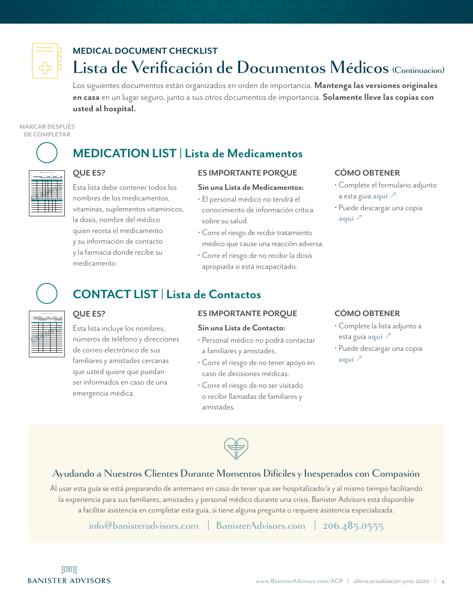

# **MEDICAL DOCUMENT CHECKLIST Lista de Verificación de Documentos Médicos (Continuacion)**

Los siguientes documentos están organizados en orden de importancia. **Mantenga las versiones originales en casa** en un lugar seguro, junto a sus otros documentos de importancia. **Solamente lleve las copias con usted al hospital.**

**MARCAR DESPUÉS DE COMPLETAR**

# MEDICATION LIST

Name: Date of Births: General Type: Blood Type: Blood Type: Blood Type: Blood Type: Blood Type: Blood Type: Blood Type: General Type: General Type: General Type: General Type: General Type: General Type: General Type: Gene

**EXAMPLE**

for Taking Dose

for Taking Dose

#### **QUE ES?**

**QUE ES?** 

Esta lista debe contener todos los nombres de los medicamentos, vitaminas, suplementos vitamínicos, la dosis, nombre del médico quien receta el medicamento y su información de contacto y la farmacia donde recibe su medicamento

Esta lista incluye los nombres, números de teléfono y direcciones de correo electrónico de sus familiares y amistades cercanas que usted quiere que puedan ser informados en caso de una

emergencia médica.

#### **ES IMPORTANTE PORQUE**

#### **Sin una Lista de Medicamentos:**

- El personal médico no tendrá el conocimiento de información crítica sobre su salud.
- Corre el riesgo de recibir tratamiento médico que cause una reacción adversa.
- Corre el riesgo de no recibir la dosis apropiada si está incapacitado.

#### **CÓMO OBTENER**

- Complete el formulario adjunto a esta guia **[aquí](#page-10-0)** ↗
- Puede descargar una copia **[aquí](https://www.banisteradvisors.com/acp)** ↗



CONTACT LIST Name Relationship Address Primary Phone Secondary Phone Emergency Contact Name: Emergency Contact Phone: Emergency Contact Phone: Emergency Name: Date of Birth: General Type: Blood Type: Blood Type: Blood Type: Blood Type: Blood Type: General Type: General Type: General Type: General Type: General Type: General Type: General Type: General Type: General Type: G

**EXAMPLE**

## **CONTACT LIST | Lista de Contactos**

**MEDICATION LIST | Lista de Medicamentos**

#### **ES IMPORTANTE PORQUE**

#### **Sin una Lista de Contacto:**

- Personal médico no podrá contactar a familiares y amistades.
- Corre el riesgo de no tener apoyo en caso de decisiones médicas.
- Corre el riesgo de no ser visitado o recibir llamadas de familiares y amistades.

#### **CÓMO OBTENER**

- Complete la lista adjunto a esta guia **[aquí](#page-11-0)** ↗
- Puede descargar una copia **[aquí](https://www.banisteradvisors.com/acp)** ↗



#### **Ayudando a Nuestros Clientes Durante Momentos Difíciles y Inesperados con Compasión**

Al usar esta guía se está preparando de antemano en caso de tener que ser hospitalizado/a y al mismo tiempo facilitando la experiencia para sus familiares, amistades y personal médico durante una crisis. Banister Advisors está disponible a facilitar asistencia en completar esta guía, si tiene alguna pregunta o requiere asistencia especializada.

**[info@banisteradvisors.com](mailto:info%40banisteradvisors.com?subject=) | [BanisterAdvisors.com](https://www.BanisterAdvisors.com) | 206.485.0555**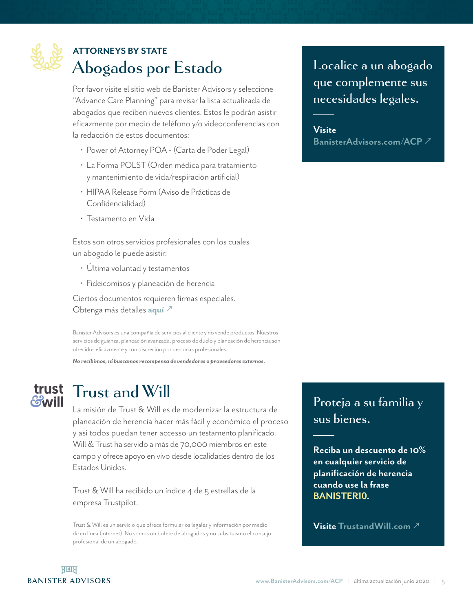<span id="page-4-0"></span>

# **ATTORNEYS BY STATE Abogados por Estado**

Por favor visite el sitio web de Banister Advisors y seleccione "Advance Care Planning" para revisar la lista actualizada de abogados que reciben nuevos clientes. Estos le podrán asistir eficazmente por medio de teléfono y/o videoconferencias con la redacción de estos documentos:

- Power of Attorney POA (Carta de Poder Legal)
- La Forma POLST (Orden médica para tratamiento y mantenimiento de vida/respiración artificial)
- HIPAA Release Form (Aviso de Prácticas de Confidencialidad)
- Testamento en Vida

Estos son otros servicios profesionales con los cuales un abogado le puede asistir:

- Última voluntad y testamentos
- Fideicomisos y planeación de herencia

Ciertos documentos requieren firmas especiales. Obtenga más detalles **[aquí](https://app.leg.wa.gov/RCW/default.aspx?cite=11.125.050)** ↗

Banister Advisors es una compañía de servicios al cliente y no vende productos. Nuestros servicios de guianza, planeación avanzada, proceso de duelo y planeación de herencia son ofrecidos eficazmente y con discreción por personas profesionales.

*No recibimos, ni buscamos recompensa de vendedores o proveedores externos.* 

# **Contill**

# **Trust and Will**

La misión de Trust & Will es de modernizar la estructura de planeación de herencia hacer más fácil y económico el proceso y asi todos puedan tener accesso un testamento planificado. Will & Trust ha servido a más de 70,000 miembros en este campo y ofrece apoyo en vivo desde localidades dentro de los Estados Unidos.

Trust & Will ha recibido un índice 4 de 5 estrellas de la empresa Trustpilot.

Trust & Will es un servicio que ofrece formularios legales y información por medio de en línea (internet). No somos un bufete de abogados y no subsituismo el consejo profesional de un abogado.

# **Localice a un abogado que complemente sus necesidades legales.**

**Visite BanisterAdvisor[s.com/ACP](http://www.banisteradvisors.com/acp)** ↗

### **Proteja a su familia y sus bienes.**

**Reciba un descuento de 10% en cualquier servicio de planificación de herencia cuando use la frase BANISTER10.** 

**Visite [TrustandWill.com](https://trustandwill.com/)** ↗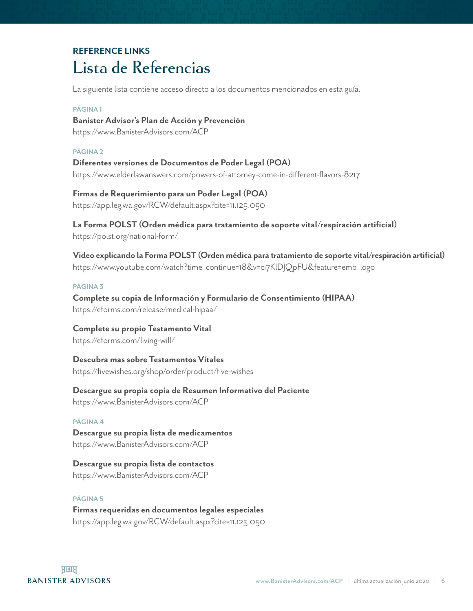# **REFERENCE LINKS Lista de Referencias**

La siguiente lista contiene acceso directo a los documentos mencionados en esta guía.

#### **PÁGINA 1**

**Banister Advisor's Plan de Acción y Prevención** https://www[.BanisterAdvisors.com/ACP](https://www.BanisterAdvisors.com/ACP)

#### **PÁGINA 2**

**Diferentes versiones de Documentos de Poder Legal (POA)** [https://www.elderlawanswers.com/powers-of-attorney-come-in-different-flavors-8217](https://www.elderlawanswers.com/powers-of-attorney-come-in-different-flavors-8217 )

**Firmas de Requerimiento para un Poder Legal (POA)** <https://app.leg.wa.gov/RCW/default.aspx?cite=11.125.050>

**La Forma POLST (Orden médica para tratamiento de soporte vital/respiración artificial)** <https://polst.org/national-form/>

**Video explicando la Forma POLST (Orden médica para tratamiento de soporte vital/respiración artificial)** [https://www.youtube.com/watch?time\\_continue=18&v=ci7KlDJQpFU&feature=emb\\_logo](https://www.youtube.com/watch?time_continue=18&v=ci7KlDJQpFU&feature=emb_logo)

#### **PÁGINA 3**

**Complete su copia de Información y Formulario de Consentimiento (HIPAA)**  <https://eforms.com/release/medical-hipaa/>

**Complete su propio Testamento Vital**  <https://eforms.com/living-will/>

**Descubra mas sobre Testamentos Vitales** <https://fivewishes.org/shop/order/product/five-wishes>

**Descargue su propia copia de Resumen Informativo del Paciente** https://www[.BanisterAdvisors.com/ACP](https://www.BanisterAdvisors.com/ACP)

#### **PÁGINA 4**

**Descargue su propia lista de medicamentos**  https://www[.BanisterAdvisors.com/ACP](https://www.BanisterAdvisors.com/ACP)

**Descargue su propia lista de contactos**  https://www[.BanisterAdvisors.com/ACP](https://www.BanisterAdvisors.com/ACP)

#### **PÁGINA 5**

**Firmas requeridas en documentos legales especiales**  <https://app.leg.wa.gov/RCW/default.aspx?cite=11.125.050>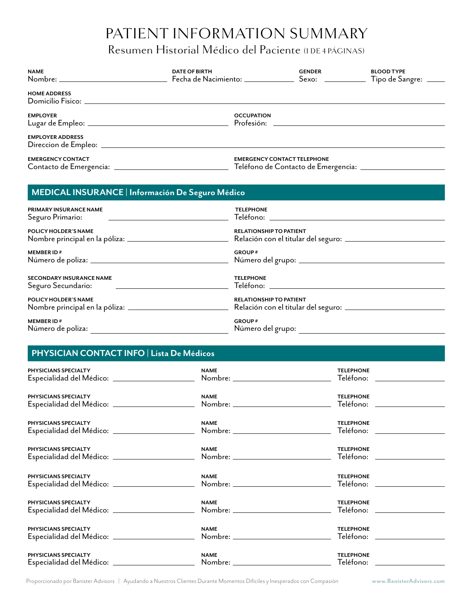## Resumen Historial Médico del Paciente (1 DE 4 PÁGINAS)

<span id="page-6-0"></span>

| <b>NAME</b><br>Nombre: ______________________________ | <b>DATE OF BIRTH</b><br>Fecha de Nacimiento: _______ | <b>GENDER</b><br>$S$ exo: $\qquad \qquad$ | <b>BLOOD TYPE</b><br>Tipo de Sangre: ____ |
|-------------------------------------------------------|------------------------------------------------------|-------------------------------------------|-------------------------------------------|
| <b>HOME ADDRESS</b><br>Domicilio Fisico:              |                                                      |                                           |                                           |
| <b>EMPLOYER</b>                                       | <b>OCCUPATION</b><br>Profesión:                      |                                           |                                           |
| <b>EMPLOYER ADDRESS</b><br>Direccion de Empleo:       |                                                      |                                           |                                           |
| <b>EMERGENCY CONTACT</b><br>Contacto de Emergencia: _ | <b>EMERGENCY CONTACT TELEPHONE</b>                   | Teléfono de Contacto de Emergencia: _     |                                           |

| MEDICAL INSURANCE   Información De Seguro Médico                                                            |                                    |  |  |  |
|-------------------------------------------------------------------------------------------------------------|------------------------------------|--|--|--|
| PRIMARY INSURANCE NAME<br><u> 1989 - Andrea Station, amerikansk politiker (d. 1989)</u><br>Seguro Primario: | <b>TELEPHONE</b>                   |  |  |  |
| POLICY HOLDER'S NAME                                                                                        | <b>RELATIONSHIP TO PATIENT</b>     |  |  |  |
| <b>MEMBER ID#</b>                                                                                           | <b>GROUP#</b>                      |  |  |  |
| <b>SECONDARY INSURANCE NAME</b><br>Seguro Secundario:                                                       | <b>TELEPHONE</b>                   |  |  |  |
| POLICY HOLDER'S NAME<br>Nombre principal en la póliza: _____________________________                        | <b>RELATIONSHIP TO PATIENT</b>     |  |  |  |
| <b>MEMBER ID#</b><br>Número de poliza:                                                                      | <b>GROUP#</b><br>Número del grupo: |  |  |  |

#### **PHYSICIAN CONTACT INFO | Lista De Médicos**

| PHYSICIANS SPECIALTY                                                    | <b>NAME</b>                                         | <b>TELEPHONE</b>              |  |
|-------------------------------------------------------------------------|-----------------------------------------------------|-------------------------------|--|
|                                                                         |                                                     | Teléfono: ________________    |  |
| PHYSICIANS SPECIALTY                                                    | <b>NAME</b>                                         | <b>TELEPHONE</b>              |  |
| Especialidad del Médico: ______________________                         | Nombre: _________________________                   | Teléfono: ______________      |  |
| PHYSICIANS SPECIALTY                                                    | <b>NAME</b>                                         | <b>TELEPHONE</b>              |  |
|                                                                         |                                                     | Teléfono: ______________      |  |
| PHYSICIANS SPECIALTY                                                    | <b>NAME</b>                                         | <b>TELEPHONE</b>              |  |
| Especialidad del Médico: _______________________                        | Nombre: ___________________________                 | Teléfono: _______________     |  |
| PHYSICIANS SPECIALTY                                                    | <b>NAME</b>                                         | <b>TELEPHONE</b>              |  |
| Especialidad del Médico: ______________________<br>PHYSICIANS SPECIALTY | Nombre: ____________________________<br><b>NAME</b> | Teléfono:<br><b>TELEPHONE</b> |  |
|                                                                         |                                                     |                               |  |
| PHYSICIANS SPECIALTY                                                    | <b>NAME</b>                                         | <b>TELEPHONE</b>              |  |
| Especialidad del Médico: ______________________                         | Nombre: ____________________________                |                               |  |
| PHYSICIANS SPECIALTY                                                    | <b>NAME</b>                                         | <b>TELEPHONE</b><br>Teléfono: |  |

Proporcionado por Banister Advisors | Ayudando a Nuestros Clientes Durante Momentos Difíciles y Inesperados con Compasión **[www.BanisterAdvisors.com](http://www.banisteradvisors.com)**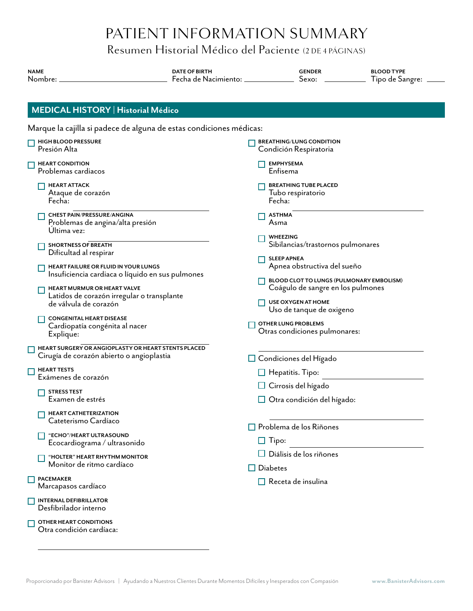Resumen Historial Médico del Paciente (2 DE 4 PÁGINAS)

| <b>NAME</b><br>Nombre:                                                                                                                                                                         | <b>DATE OF BIRTH</b><br>Fecha de Nacimiento: _ | <b>GENDER</b><br>Sexo:                                                                                                          | <b>BLOOD TYPE</b><br>Tipo de Sangre: |  |
|------------------------------------------------------------------------------------------------------------------------------------------------------------------------------------------------|------------------------------------------------|---------------------------------------------------------------------------------------------------------------------------------|--------------------------------------|--|
| <b>MEDICAL HISTORY   Historial Médico</b>                                                                                                                                                      |                                                |                                                                                                                                 |                                      |  |
| Marque la cajilla si padece de alguna de estas condiciones médicas:                                                                                                                            |                                                |                                                                                                                                 |                                      |  |
| HIGH BLOOD PRESSURE<br>Presión Alta                                                                                                                                                            |                                                | <b>BREATHING/LUNG CONDITION</b><br>Condición Respiratoria                                                                       |                                      |  |
| <b>HEART CONDITION</b><br>Problemas cardiacos                                                                                                                                                  |                                                | <b>EMPHYSEMA</b><br>Enfisema                                                                                                    |                                      |  |
| <b>HEART ATTACK</b><br>Ataque de corazón<br>Fecha:                                                                                                                                             |                                                | <b>BREATHING TUBE PLACED</b><br>Tubo respiratorio<br>Fecha:                                                                     |                                      |  |
| CHEST PAIN/PRESSURE/ANGINA<br>Problemas de angina/alta presión<br>Ultima vez:                                                                                                                  |                                                | <b>ASTHMA</b><br>Asma                                                                                                           |                                      |  |
| <b>SHORTNESS OF BREATH</b><br>Dificultad al respirar                                                                                                                                           |                                                | <b>WHEEZING</b><br>Sibilancias/trastornos pulmonares                                                                            |                                      |  |
| HEART FAILURE OR FLUID IN YOUR LUNGS<br>Insuficiencia cardiaca o líquido en sus pulmones<br>HEART MURMUR OR HEART VALVE<br>Latidos de corazón irregular o transplante<br>de válvula de corazón |                                                | <b>SLEEP APNEA</b><br>Apnea obstructiva del sueño                                                                               |                                      |  |
|                                                                                                                                                                                                |                                                | BLOOD CLOT TO LUNGS (PULMONARY EMBOLISM)<br>Coágulo de sangre en los pulmones<br>USE OXYGEN AT HOME<br>Uso de tanque de oxigeno |                                      |  |
| <b>CONGENITAL HEART DISEASE</b><br>Cardiopatía congénita al nacer<br>Explique:                                                                                                                 |                                                | <b>OTHER LUNG PROBLEMS</b><br>Otras condiciones pulmonares:                                                                     |                                      |  |
| HEART SURGERY OR ANGIOPLASTY OR HEART STENTS PLACED<br>Cirugía de corazón abierto o angioplastia                                                                                               |                                                | $\Box$ Condiciones del Hígado                                                                                                   |                                      |  |
| $\Box$ HEART TESTS<br>Exámenes de corazón                                                                                                                                                      |                                                | $\Box$ Hepatitis. Tipo:                                                                                                         |                                      |  |
| <b>STRESS TEST</b><br>Examen de estrés                                                                                                                                                         |                                                | Cirrosis del hígado<br>$\Box$ Otra condición del hígado:                                                                        |                                      |  |
| <b>HEART CATHETERIZATION</b><br>Cateterismo Cardíaco                                                                                                                                           |                                                | $\Box$ Problema de los Riñones                                                                                                  |                                      |  |
| "ECHO"/HEART ULTRASOUND<br>Ecocardiograma / ultrasonido                                                                                                                                        |                                                | $\Box$ Tipo:                                                                                                                    |                                      |  |
| "HOLTER" HEART RHYTHM MONITOR<br>Monitor de ritmo cardíaco                                                                                                                                     | $\Box$ Diabetes                                | $\Box$ Diálisis de los riñones                                                                                                  |                                      |  |
| <b>PACEMAKER</b><br>Marcapasos cardíaco                                                                                                                                                        |                                                | $\Box$ Receta de insulina                                                                                                       |                                      |  |
| <b>INTERNAL DEFIBRILLATOR</b><br>Desfibrilador interno                                                                                                                                         |                                                |                                                                                                                                 |                                      |  |
| OTHER HEART CONDITIONS<br>Otra condición cardíaca:                                                                                                                                             |                                                |                                                                                                                                 |                                      |  |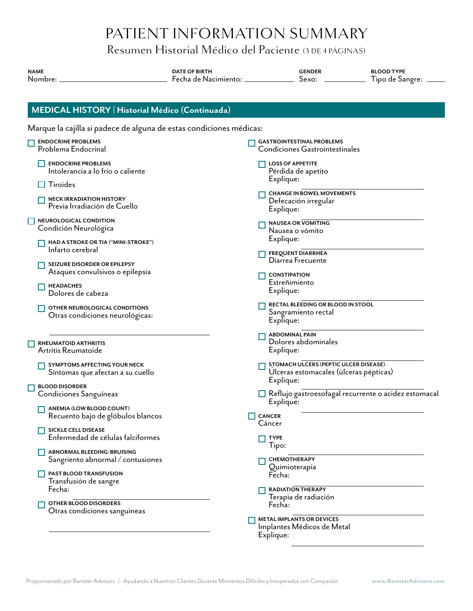### Resumen Historial Médico del Paciente (3 DE 4 PÁGINAS)

| <b>NAME</b><br>Nombre:                                              | <b>DATE OF BIRTH</b><br>Fecha de Nacimiento: __________ | <b>GENDER</b><br>Sexo:                                                                       | <b>BLOOD TYPE</b><br>Tipo de Sangre: |
|---------------------------------------------------------------------|---------------------------------------------------------|----------------------------------------------------------------------------------------------|--------------------------------------|
| MEDICAL HISTORY   Historial Médico (Continuada)                     |                                                         |                                                                                              |                                      |
| Marque la cajilla si padece de alguna de estas condiciones médicas: |                                                         |                                                                                              |                                      |
| <b>ENDOCRINE PROBLEMS</b><br>Problema Endocrinal                    |                                                         | <b>GASTROINTESTINAL PROBLEMS</b><br>Condiciones Gastrointestinales                           |                                      |
| <b>ENDOCRINE PROBLEMS</b><br>Intolerancia a lo frío o caliente      |                                                         | <b>LOSS OF APPETITE</b><br>Pérdida de apetito                                                |                                      |
| Tiroides                                                            |                                                         | Explique:                                                                                    |                                      |
| <b>NECK IRRADIATION HISTORY</b><br>Previa Irradiación de Cuello     |                                                         | <b>CHANGE IN BOWEL MOVEMENTS</b><br>Defecación irregular<br>Explique:                        |                                      |
| NEUROLOGICAL CONDITION<br>Condición Neurológica                     |                                                         | <b>NAUSEA OR VOMITING</b><br>Nausea o vómito                                                 |                                      |
| HAD A STROKE OR TIA ("MINI-STROKE")<br>Infarto cerebral             |                                                         | Explique:<br><b>FREQUENT DIARRHEA</b><br>Diarrea Frecuente                                   |                                      |
| SEIZURE DISORDER OR EPILEPSY<br>Ataques convulsivos o epilepsia     |                                                         | <b>CONSTIPATION</b>                                                                          |                                      |
| <b>HEADACHES</b><br>Dolores de cabeza                               |                                                         | Estreñimiento<br>Explique:                                                                   |                                      |
| OTHER NEUROLOGICAL CONDITIONS<br>Otras condiciones neurológicas:    |                                                         | RECTAL BLEEDING OR BLOOD IN STOOL<br>Sangramiento rectal<br>Explique:                        |                                      |
| RHEUMATOID ARTHRITIS<br>Artritis Reumatoide                         |                                                         | <b>ABDOMINAL PAIN</b><br>Dolores abdominales<br>Explique:                                    |                                      |
| SYMPTOMS AFFECTING YOUR NECK<br>Síntomas que afectan a su cuello    |                                                         | STOMACH ULCERS (PEPTIC ULCER DISEASE)<br>Ulceras estomacales (úlceras pépticas)<br>Explique: |                                      |
| <b>BLOOD DISORDER</b><br>Condiciones Sanguíneas                     |                                                         | Reflujo gastroesofagal recurrente o acidez estomacal<br>Explique:                            |                                      |
| ANEMIA (LOW BLOOD COUNT)<br>Recuento bajo de glóbulos blancos       |                                                         | <b>CANCER</b><br>Cáncer                                                                      |                                      |
| <b>SICKLE CELL DISEASE</b><br>Enfermedad de células falciformes     |                                                         | <b>TYPE</b><br>Tipo:                                                                         |                                      |
| ABNORMAL BLEEDING/BRUISING<br>Sangriento abnormal / contusiones     |                                                         | CHEMOTHERAPY<br>Quimioterapia                                                                |                                      |
| PAST BLOOD TRANSFUSION<br>Transfusión de sangre                     |                                                         | Fecha:                                                                                       |                                      |
| Fecha:<br>OTHER BLOOD DISORDERS<br>Otras condiciones sanguíneas     |                                                         | <b>RADIATION THERAPY</b><br>Terapia de radiación<br>Fecha:                                   |                                      |
|                                                                     |                                                         | <b>METAL IMPLANTS OR DEVICES</b><br>Implantes Médicos de Metal<br>Explique:                  |                                      |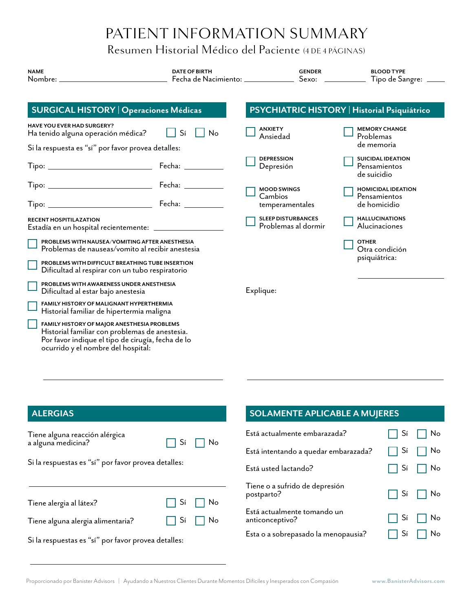Resumen Historial Médico del Paciente (4 DE 4 PÁGINAS)

| <b>NAME</b>                                                                                                                                                                              | <b>DATE OF BIRTH</b><br>Fecha de Nacimiento: _____________ | <b>GENDER</b><br>$S$ exo: $\frac{1}{2}$          | <b>BLOOD TYPE</b><br>Tipo de Sangre: ____               |
|------------------------------------------------------------------------------------------------------------------------------------------------------------------------------------------|------------------------------------------------------------|--------------------------------------------------|---------------------------------------------------------|
| <b>SURGICAL HISTORY   Operaciones Médicas</b>                                                                                                                                            |                                                            |                                                  | PSYCHIATRIC HISTORY   Historial Psiquiátrico            |
| <b>HAVE YOU EVER HAD SURGERY?</b><br>Ha tenido alguna operación médica?                                                                                                                  | Sí<br>No                                                   | <b>ANXIETY</b><br>Ansiedad                       | <b>MEMORY CHANGE</b><br>Problemas                       |
| Si la respuesta es "sí" por favor provea detalles:                                                                                                                                       |                                                            |                                                  | de memoria                                              |
|                                                                                                                                                                                          |                                                            | <b>DEPRESSION</b><br>Depresión                   | <b>SUICIDAL IDEATION</b><br>Pensamientos<br>de suicidio |
| Tipo: _______________________________                                                                                                                                                    | Fecha: _________                                           | <b>MOOD SWINGS</b>                               | <b>HOMICIDAL IDEATION</b>                               |
|                                                                                                                                                                                          |                                                            | Cambios<br>temperamentales                       | Pensamientos<br>de homicidio                            |
| <b>RECENT HOSPITILAZATION</b>                                                                                                                                                            |                                                            | <b>SLEEP DISTURBANCES</b><br>Problemas al dormir | <b>HALLUCINATIONS</b><br>Alucinaciones                  |
| PROBLEMS WITH NAUSEA/VOMITING AFTER ANESTHESIA<br>Problemas de nauseas/vomito al recibir anestesia                                                                                       |                                                            |                                                  | <b>OTHER</b><br>Otra condición                          |
| PROBLEMS WITH DIFFICULT BREATHING TUBE INSERTION<br>Dificultad al respirar con un tubo respiratorio                                                                                      |                                                            |                                                  | psiquiátrica:                                           |
| PROBLEMS WITH AWARENESS UNDER ANESTHESIA<br>Dificultad al estar bajo anestesia                                                                                                           |                                                            | Explique:                                        |                                                         |
| FAMILY HISTORY OF MALIGNANT HYPERTHERMIA<br>Historial familiar de hipertermia maligna                                                                                                    |                                                            |                                                  |                                                         |
| FAMILY HISTORY OF MAJOR ANESTHESIA PROBLEMS<br>Historial familiar con problemas de anestesia.<br>Por favor indique el tipo de cirugía, fecha de lo<br>ocurrido y el nombre del hospital: |                                                            |                                                  |                                                         |

#### **ALERGIAS**

| Tiene alguna reacción alérgica<br>a alguna medicina? |  | $\Box$ Sí $\Box$ No |
|------------------------------------------------------|--|---------------------|
| Si la respuestas es "sí" por favor provea detalles:  |  |                     |
|                                                      |  |                     |
| Tiene alergia al látex?                              |  | $\Box$ Sí $\Box$ No |
| Tiene alguna alergia alimentaria?                    |  | $\Box$ Sí $\Box$ No |

Si la respuestas es "sí" por favor provea detalles:

### **SOLAMENTE APLICABLE A MUJERES**

| Está actualmente embarazada?                   | $\Box$ Sí $\Box$ No |
|------------------------------------------------|---------------------|
| Está intentando a quedar embarazada?           | $\Box$ Sí $\Box$ No |
| Está usted lactando?                           | $\Box$ Sí $\Box$ No |
| Tiene o a sufrido de depresión<br>postparto?   | $\Box$ Sí $\Box$ No |
| Está actualmente tomando un<br>anticonceptivo? | $\Box$ Sí $\Box$ No |
| Esta o a sobrepasado la menopausia?            | $Si \ \Box$ No      |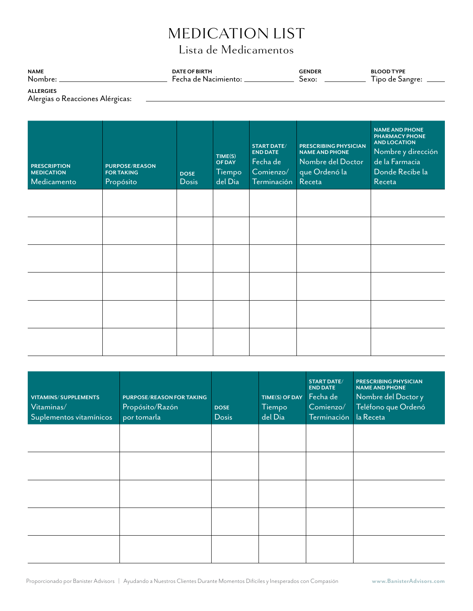# MEDICATION LIST

# Lista de Medicamentos

<span id="page-10-0"></span>

| <b>NAME</b> | <b>DATE OF BIRTH</b>     | <b>ENDER</b> | <b>BLOOD TYPE</b> |
|-------------|--------------------------|--------------|-------------------|
| Nombre      | - Fecha de Nacimiento: . | bexo         | Sangre:<br>ino de |
|             |                          |              |                   |

**ALLERGIES** Alergias o Reacciones Alérgicas:

| <b>PRESCRIPTION</b><br><b>MEDICATION</b><br>Medicamento | <b>PURPOSE/REASON</b><br><b>FOR TAKING</b><br>Propósito | <b>DOSE</b><br><b>Dosis</b> | TIME(S)<br><b>OF DAY</b><br>Tiempo<br>del Dia | <b>START DATE/</b><br><b>END DATE</b><br>Fecha de<br>Comienzo/<br>Terminación | <b>PRESCRIBING PHYSICIAN</b><br><b>NAME AND PHONE</b><br>Nombre del Doctor<br>que Ordenó la<br>Receta | <b>NAME AND PHONE</b><br><b>PHARMACY PHONE</b><br><b>AND LOCATION</b><br>Nombre y dirección<br>de la Farmacia<br>Donde Recibe la<br>Receta |
|---------------------------------------------------------|---------------------------------------------------------|-----------------------------|-----------------------------------------------|-------------------------------------------------------------------------------|-------------------------------------------------------------------------------------------------------|--------------------------------------------------------------------------------------------------------------------------------------------|
|                                                         |                                                         |                             |                                               |                                                                               |                                                                                                       |                                                                                                                                            |
|                                                         |                                                         |                             |                                               |                                                                               |                                                                                                       |                                                                                                                                            |
|                                                         |                                                         |                             |                                               |                                                                               |                                                                                                       |                                                                                                                                            |
|                                                         |                                                         |                             |                                               |                                                                               |                                                                                                       |                                                                                                                                            |
|                                                         |                                                         |                             |                                               |                                                                               |                                                                                                       |                                                                                                                                            |
|                                                         |                                                         |                             |                                               |                                                                               |                                                                                                       |                                                                                                                                            |

| <b>VITAMINS/ SUPPLEMENTS</b><br>Vitaminas/<br>Suplementos vitamínicos | <b>PURPOSE/REASON FOR TAKING</b><br>Propósito/Razón<br>por tomarla | <b>DOSE</b><br><b>Dosis</b> | TIME(S) OF DAY<br>Tiempo<br>del Dia | <b>START DATE/</b><br><b>END DATE</b><br>Fecha de<br>Comienzo/<br>Terminación | <b>PRESCRIBING PHYSICIAN</b><br><b>NAME AND PHONE</b><br>Nombre del Doctor y<br>Teléfono que Ordenó<br>la Receta |
|-----------------------------------------------------------------------|--------------------------------------------------------------------|-----------------------------|-------------------------------------|-------------------------------------------------------------------------------|------------------------------------------------------------------------------------------------------------------|
|                                                                       |                                                                    |                             |                                     |                                                                               |                                                                                                                  |
|                                                                       |                                                                    |                             |                                     |                                                                               |                                                                                                                  |
|                                                                       |                                                                    |                             |                                     |                                                                               |                                                                                                                  |
|                                                                       |                                                                    |                             |                                     |                                                                               |                                                                                                                  |
|                                                                       |                                                                    |                             |                                     |                                                                               |                                                                                                                  |